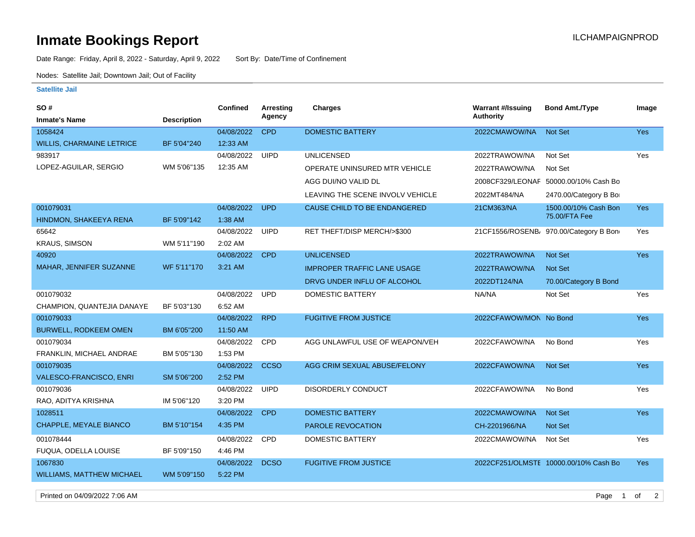## **Inmate Bookings Report International Contract Contract Contract Contract Contract Contract Contract Contract Contract Contract Contract Contract Contract Contract Contract Contract Contract Contract Contract Contract Co**

Date Range: Friday, April 8, 2022 - Saturday, April 9, 2022 Sort By: Date/Time of Confinement

Nodes: Satellite Jail; Downtown Jail; Out of Facility

## **Satellite Jail**

| SO#                              |                    | Confined   | Arresting   | <b>Charges</b>                     | <b>Warrant #/Issuing</b> | <b>Bond Amt./Type</b>                 | Image      |
|----------------------------------|--------------------|------------|-------------|------------------------------------|--------------------------|---------------------------------------|------------|
| <b>Inmate's Name</b>             | <b>Description</b> |            | Agency      |                                    | <b>Authority</b>         |                                       |            |
| 1058424                          |                    | 04/08/2022 | <b>CPD</b>  | <b>DOMESTIC BATTERY</b>            | 2022CMAWOW/NA            | Not Set                               | Yes        |
| <b>WILLIS, CHARMAINE LETRICE</b> | BF 5'04"240        | 12:33 AM   |             |                                    |                          |                                       |            |
| 983917                           |                    | 04/08/2022 | <b>UIPD</b> | <b>UNLICENSED</b>                  | 2022TRAWOW/NA            | Not Set                               | Yes        |
| LOPEZ-AGUILAR, SERGIO            | WM 5'06"135        | 12:35 AM   |             | OPERATE UNINSURED MTR VEHICLE      | 2022TRAWOW/NA            | Not Set                               |            |
|                                  |                    |            |             | AGG DUI/NO VALID DL                |                          | 2008CF329/LEONAF 50000.00/10% Cash Bo |            |
|                                  |                    |            |             | LEAVING THE SCENE INVOLV VEHICLE   | 2022MT484/NA             | 2470.00/Category B Bo                 |            |
| 001079031                        |                    | 04/08/2022 | <b>UPD</b>  | CAUSE CHILD TO BE ENDANGERED       | 21CM363/NA               | 1500.00/10% Cash Bon                  | <b>Yes</b> |
| HINDMON, SHAKEEYA RENA           | BF 5'09"142        | 1:38 AM    |             |                                    |                          | 75.00/FTA Fee                         |            |
| 65642                            |                    | 04/08/2022 | <b>UIPD</b> | RET THEFT/DISP MERCH/>\$300        |                          | 21CF1556/ROSENB 970.00/Category B Bon | Yes        |
| <b>KRAUS, SIMSON</b>             | WM 5'11"190        | 2:02 AM    |             |                                    |                          |                                       |            |
| 40920                            |                    | 04/08/2022 | <b>CPD</b>  | <b>UNLICENSED</b>                  | 2022TRAWOW/NA            | <b>Not Set</b>                        | <b>Yes</b> |
| MAHAR, JENNIFER SUZANNE          | WF 5'11"170        | 3:21 AM    |             | <b>IMPROPER TRAFFIC LANE USAGE</b> | 2022TRAWOW/NA            | <b>Not Set</b>                        |            |
|                                  |                    |            |             | DRVG UNDER INFLU OF ALCOHOL        | 2022DT124/NA             | 70.00/Category B Bond                 |            |
| 001079032                        |                    | 04/08/2022 | <b>UPD</b>  | <b>DOMESTIC BATTERY</b>            | NA/NA                    | Not Set                               | Yes        |
| CHAMPION, QUANTEJIA DANAYE       | BF 5'03"130        | 6:52 AM    |             |                                    |                          |                                       |            |
| 001079033                        |                    | 04/08/2022 | <b>RPD</b>  | <b>FUGITIVE FROM JUSTICE</b>       | 2022CFAWOW/MON No Bond   |                                       | Yes        |
| <b>BURWELL, RODKEEM OMEN</b>     | BM 6'05"200        | 11:50 AM   |             |                                    |                          |                                       |            |
| 001079034                        |                    | 04/08/2022 | CPD         | AGG UNLAWFUL USE OF WEAPON/VEH     | 2022CFAWOW/NA            | No Bond                               | Yes        |
| FRANKLIN, MICHAEL ANDRAE         | BM 5'05"130        | 1:53 PM    |             |                                    |                          |                                       |            |
| 001079035                        |                    | 04/08/2022 | <b>CCSO</b> | AGG CRIM SEXUAL ABUSE/FELONY       | 2022CFAWOW/NA            | <b>Not Set</b>                        | Yes        |
| <b>VALESCO-FRANCISCO, ENRI</b>   | SM 5'06"200        | 2:52 PM    |             |                                    |                          |                                       |            |
| 001079036                        |                    | 04/08/2022 | <b>UIPD</b> | <b>DISORDERLY CONDUCT</b>          | 2022CFAWOW/NA            | No Bond                               | Yes        |
| RAO, ADITYA KRISHNA              | IM 5'06"120        | 3:20 PM    |             |                                    |                          |                                       |            |
| 1028511                          |                    | 04/08/2022 | <b>CPD</b>  | <b>DOMESTIC BATTERY</b>            | 2022CMAWOW/NA            | Not Set                               | <b>Yes</b> |
| CHAPPLE, MEYALE BIANCO           | BM 5'10"154        | 4:35 PM    |             | <b>PAROLE REVOCATION</b>           | CH-2201966/NA            | Not Set                               |            |
| 001078444                        |                    | 04/08/2022 | CPD         | <b>DOMESTIC BATTERY</b>            | 2022CMAWOW/NA            | Not Set                               | Yes        |
| FUQUA, ODELLA LOUISE             | BF 5'09"150        | 4:46 PM    |             |                                    |                          |                                       |            |
| 1067830                          |                    | 04/08/2022 | <b>DCSO</b> | <b>FUGITIVE FROM JUSTICE</b>       |                          | 2022CF251/OLMSTE 10000.00/10% Cash Bo | <b>Yes</b> |
| <b>WILLIAMS, MATTHEW MICHAEL</b> | WM 5'09"150        | 5:22 PM    |             |                                    |                          |                                       |            |

Printed on 04/09/2022 7:06 AM Page 1 of 2